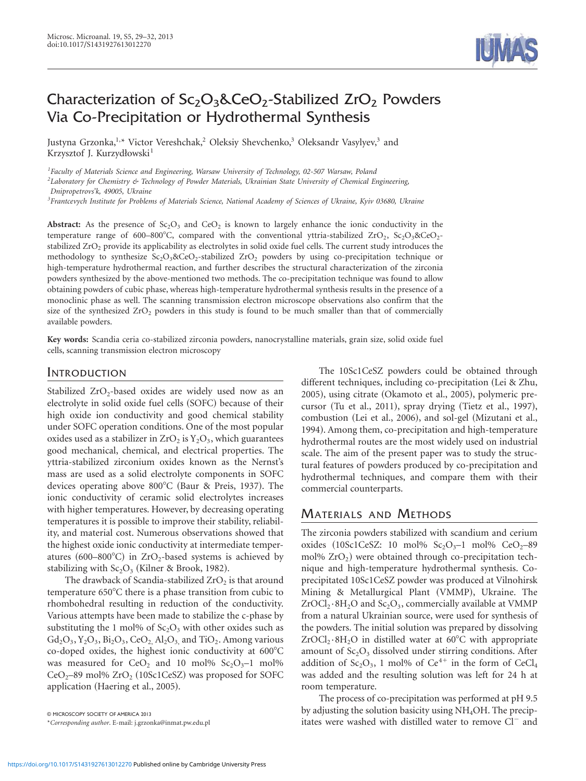

# Characterization of  $Sc_2O_3\&CeO_2$ -Stabilized  $ZrO_2$  Powders Via Co-Precipitation or Hydrothermal Synthesis

Justyna Grzonka,<sup>1,\*</sup> Victor Vereshchak,<sup>2</sup> Oleksiy Shevchenko,<sup>3</sup> Oleksandr Vasylyev,<sup>3</sup> and Krzysztof J. Kurzydłowski<sup>1</sup>

*1 Faculty of Materials Science and Engineering, Warsaw University of Technology, 02-507 Warsaw, Poland*

*2 Laboratory for Chemistry & Technology of Powder Materials, Ukrainian State University of Chemical Engineering,*

*Dnipropetrovs'k, 49005, Ukraine*

*3 Frantcevych Institute for Problems of Materials Science, National Academy of Sciences of Ukraine, Kyiv 03680, Ukraine*

**Abstract:** As the presence of  $Sc_2O_3$  and  $CeO_2$  is known to largely enhance the ionic conductivity in the temperature range of 600–800°C, compared with the conventional yttria-stabilized ZrO<sub>2</sub>, Sc<sub>2</sub>O<sub>3</sub>&CeO<sub>2</sub>stabilized ZrO<sub>2</sub> provide its applicability as electrolytes in solid oxide fuel cells. The current study introduces the methodology to synthesize  $Sc_2O_3 \& CeO_2$ -stabilized  $ZrO_2$  powders by using co-precipitation technique or high-temperature hydrothermal reaction, and further describes the structural characterization of the zirconia powders synthesized by the above-mentioned two methods. The co-precipitation technique was found to allow obtaining powders of cubic phase, whereas high-temperature hydrothermal synthesis results in the presence of a monoclinic phase as well. The scanning transmission electron microscope observations also confirm that the size of the synthesized  $ZrO<sub>2</sub>$  powders in this study is found to be much smaller than that of commercially available powders.

**Key words:** Scandia ceria co-stabilized zirconia powders, nanocrystalline materials, grain size, solid oxide fuel cells, scanning transmission electron microscopy

#### INTRODUCTION

Stabilized  $ZrO<sub>2</sub>$ -based oxides are widely used now as an electrolyte in solid oxide fuel cells (SOFC) because of their high oxide ion conductivity and good chemical stability under SOFC operation conditions. One of the most popular oxides used as a stabilizer in  $ZrO<sub>2</sub>$  is  $Y<sub>2</sub>O<sub>3</sub>$ , which guarantees good mechanical, chemical, and electrical properties. The yttria-stabilized zirconium oxides known as the Nernst's mass are used as a solid electrolyte components in SOFC devices operating above  $800^{\circ}$ C (Baur & Preis, 1937). The ionic conductivity of ceramic solid electrolytes increases with higher temperatures. However, by decreasing operating temperatures it is possible to improve their stability, reliability, and material cost. Numerous observations showed that the highest oxide ionic conductivity at intermediate temperatures  $(600-800^{\circ}C)$  in ZrO<sub>2</sub>-based systems is achieved by stabilizing with  $Sc<sub>2</sub>O<sub>3</sub>$  (Kilner & Brook, 1982).

The drawback of Scandia-stabilized  $ZrO<sub>2</sub>$  is that around temperature  $650^{\circ}$ C there is a phase transition from cubic to rhombohedral resulting in reduction of the conductivity. Various attempts have been made to stabilize the c-phase by substituting the 1 mol% of  $Sc<sub>2</sub>O<sub>3</sub>$  with other oxides such as  $Gd_2O_3$ ,  $Y_2O_3$ ,  $Bi_2O_3$ ,  $CeO_2$ ,  $Al_2O_3$ , and  $TiO_2$ . Among various co-doped oxides, the highest ionic conductivity at  $600^{\circ}$ C was measured for CeO<sub>2</sub> and 10 mol%  $Sc_2O_3-1$  mol%  $CeO<sub>2</sub>$ –89 mol%  $ZrO<sub>2</sub>$  (10Sc1CeSZ) was proposed for SOFC application (Haering et al., 2005).

The 10Sc1CeSZ powders could be obtained through different techniques, including co-precipitation (Lei & Zhu, 2005), using citrate (Okamoto et al., 2005), polymeric precursor (Tu et al., 2011), spray drying (Tietz et al., 1997), combustion (Lei et al., 2006), and sol-gel (Mizutani et al., 1994). Among them, co-precipitation and high-temperature hydrothermal routes are the most widely used on industrial scale. The aim of the present paper was to study the structural features of powders produced by co-precipitation and hydrothermal techniques, and compare them with their commercial counterparts.

### MATERIALS AND METHODS

The zirconia powders stabilized with scandium and cerium oxides  $(10Sc1CeSZ: 10 mol\% Sc<sub>2</sub>O<sub>3</sub>–1 mol\% CeO<sub>2</sub>–89$ mol%  $ZrO<sub>2</sub>$ ) were obtained through co-precipitation technique and high-temperature hydrothermal synthesis. Coprecipitated 10Sc1CeSZ powder was produced at Vilnohirsk Mining & Metallurgical Plant (VMMP), Ukraine. The  $ZrOCl<sub>2</sub>·8H<sub>2</sub>O$  and  $Sc<sub>2</sub>O<sub>3</sub>$ , commercially available at VMMP from a natural Ukrainian source, were used for synthesis of the powders. The initial solution was prepared by dissolving  $ZrOCl<sub>2</sub>·8H<sub>2</sub>O$  in distilled water at 60°C with appropriate amount of  $Sc<sub>2</sub>O<sub>3</sub>$  dissolved under stirring conditions. After addition of  $Sc_2O_3$ , 1 mol% of  $Ce^{4+}$  in the form of  $CeCl_4$ was added and the resulting solution was left for 24 h at room temperature.

The process of co-precipitation was performed at pH 9.5 by adjusting the solution basicity using NH4OH. The precip- $\sigma$  MICROSCOPY SOCIETY OF AMERICA 2013<br>
\*Corresponding author. E-mail: j.grzonka@inmat.pw.edu.pl<br>
\*Corresponding author. E-mail: j.grzonka@inmat.pw.edu.pl<br> **itates were washed with distilled water to remove Cl<sup>-</sup> and** 

<sup>\*</sup>*Corresponding author*. E-mail: j.grzonka@inmat.pw.edu.pl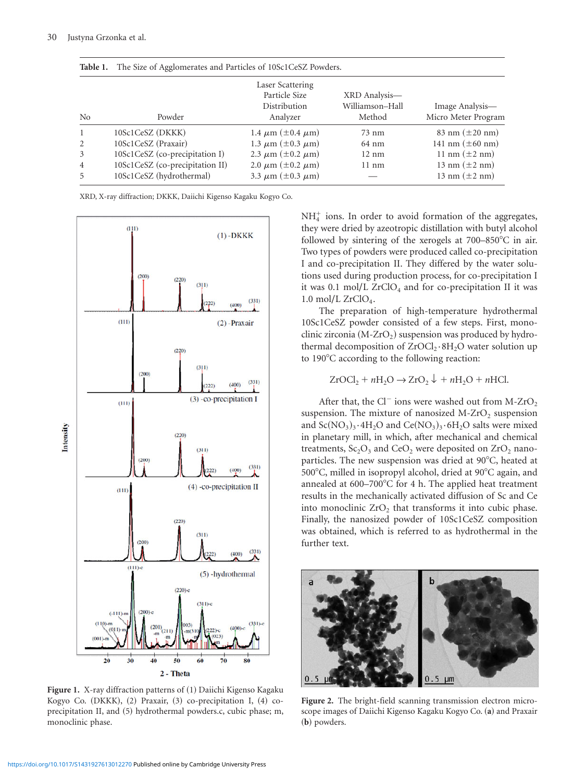|                | Table 1. The Size of Agglomerates and Particles of 10Sc1CeSZ Powders. |                                                               |                                            |                                        |
|----------------|-----------------------------------------------------------------------|---------------------------------------------------------------|--------------------------------------------|----------------------------------------|
| No             | Powder                                                                | Laser Scattering<br>Particle Size<br>Distribution<br>Analyzer | XRD Analysis-<br>Williamson-Hall<br>Method | Image Analysis—<br>Micro Meter Program |
| $\mathbf{1}$   | 10Sc1CeSZ (DKKK)                                                      | 1.4 $\mu$ m ( $\pm$ 0.4 $\mu$ m)                              | $73 \text{ nm}$                            | 83 nm $(\pm 20 \text{ nm})$            |
| 2              | 10Sc1CeSZ (Praxair)                                                   | 1.3 $\mu$ m ( $\pm$ 0.3 $\mu$ m)                              | 64 nm                                      | 141 nm $(\pm 60 \text{ nm})$           |
| 3              | 10Sc1CeSZ (co-precipitation I)                                        | 2.3 $\mu$ m ( $\pm$ 0.2 $\mu$ m)                              | $12 \text{ nm}$                            | 11 nm $(\pm 2 \text{ nm})$             |
| $\overline{4}$ | 10Sc1CeSZ (co-precipitation II)                                       | 2.0 $\mu$ m ( $\pm$ 0.2 $\mu$ m)                              | $11 \text{ nm}$                            | 13 nm $(\pm 2 \text{ nm})$             |
| 5              | 10Sc1CeSZ (hydrothermal)                                              | 3.3 $\mu$ m ( $\pm$ 0.3 $\mu$ m)                              |                                            | 13 nm $(\pm 2 \text{ nm})$             |

XRD, X-ray diffraction; DKKK, Daiichi Kigenso Kagaku Kogyo Co.



Figure 1. X-ray diffraction patterns of (1) Daiichi Kigenso Kagaku Kogyo Co. (DKKK), (2) Praxair, (3) co-precipitation I, (4) coprecipitation II, and (5) hydrothermal powders.c, cubic phase; m, monoclinic phase.

 $NH<sub>4</sub><sup>+</sup>$  ions. In order to avoid formation of the aggregates, they were dried by azeotropic distillation with butyl alcohol followed by sintering of the xerogels at  $700-850^{\circ}$ C in air. Two types of powders were produced called co-precipitation I and co-precipitation II. They differed by the water solutions used during production process, for co-precipitation I it was  $0.1 \text{ mol/L ZrClO}_4$  and for co-precipitation II it was  $1.0$  mol/L ZrClO<sub>4</sub>.

The preparation of high-temperature hydrothermal 10Sc1CeSZ powder consisted of a few steps. First, monoclinic zirconia  $(M-ZrO<sub>2</sub>)$  suspension was produced by hydrothermal decomposition of  $ZroCl<sub>2</sub>·8H<sub>2</sub>O$  water solution up to 190°C according to the following reaction:

 $ZrOCl_2 + nH_2O \rightarrow ZrO_2 \downarrow + nH_2O + nHCl.$ 

After that, the Cl<sup>-</sup> ions were washed out from M-ZrO<sub>2</sub> suspension. The mixture of nanosized  $M-ZrO<sub>2</sub>$  suspension and  $Sc(NO<sub>3</sub>)<sub>3</sub>·4H<sub>2</sub>O$  and  $Ce(NO<sub>3</sub>)<sub>3</sub>·6H<sub>2</sub>O$  salts were mixed in planetary mill, in which, after mechanical and chemical treatments,  $Sc_2O_3$  and  $CeO_2$  were deposited on  $ZrO_2$  nanoparticles. The new suspension was dried at  $90^{\circ}$ C, heated at 500°C, milled in isopropyl alcohol, dried at 90°C again, and annealed at  $600-700^{\circ}$ C for 4 h. The applied heat treatment results in the mechanically activated diffusion of Sc and Ce into monoclinic  $ZrO<sub>2</sub>$  that transforms it into cubic phase. Finally, the nanosized powder of 10Sc1CeSZ composition was obtained, which is referred to as hydrothermal in the further text.



**Figure 2.** The bright-field scanning transmission electron microscope images of Daiichi Kigenso Kagaku Kogyo Co. (a) and Praxair (b) powders.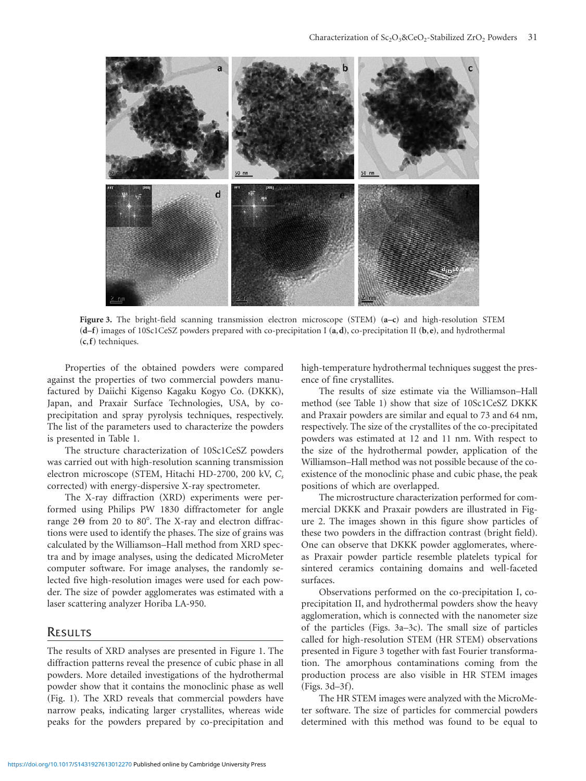

Figure 3. The bright-field scanning transmission electron microscope (STEM)  $(a-c)$  and high-resolution STEM  $(d-f)$  images of 10Sc1CeSZ powders prepared with co-precipitation I  $(a,d)$ , co-precipitation II  $(b,e)$ , and hydrothermal ~**c**,**f**! techniques.

Properties of the obtained powders were compared against the properties of two commercial powders manufactured by Daiichi Kigenso Kagaku Kogyo Co. (DKKK), Japan, and Praxair Surface Technologies, USA, by coprecipitation and spray pyrolysis techniques, respectively. The list of the parameters used to characterize the powders is presented in Table 1.

The structure characterization of 10Sc1CeSZ powders was carried out with high-resolution scanning transmission electron microscope (STEM, Hitachi HD-2700, 200 kV, C<sub>s</sub> corrected) with energy-dispersive X-ray spectrometer.

The X-ray diffraction (XRD) experiments were performed using Philips PW 1830 diffractometer for angle range  $2\Theta$  from  $20$  to  $80^\circ$ . The X-ray and electron diffractions were used to identify the phases. The size of grains was calculated by the Williamson–Hall method from XRD spectra and by image analyses, using the dedicated MicroMeter computer software. For image analyses, the randomly selected five high-resolution images were used for each powder. The size of powder agglomerates was estimated with a laser scattering analyzer Horiba LA-950.

#### **RESULTS**

The results of XRD analyses are presented in Figure 1. The diffraction patterns reveal the presence of cubic phase in all powders. More detailed investigations of the hydrothermal powder show that it contains the monoclinic phase as well (Fig. 1). The XRD reveals that commercial powders have narrow peaks, indicating larger crystallites, whereas wide peaks for the powders prepared by co-precipitation and high-temperature hydrothermal techniques suggest the presence of fine crystallites.

The results of size estimate via the Williamson–Hall method (see Table 1) show that size of 10Sc1CeSZ DKKK and Praxair powders are similar and equal to 73 and 64 nm, respectively. The size of the crystallites of the co-precipitated powders was estimated at 12 and 11 nm. With respect to the size of the hydrothermal powder, application of the Williamson–Hall method was not possible because of the coexistence of the monoclinic phase and cubic phase, the peak positions of which are overlapped.

The microstructure characterization performed for commercial DKKK and Praxair powders are illustrated in Figure 2. The images shown in this figure show particles of these two powders in the diffraction contrast (bright field). One can observe that DKKK powder agglomerates, whereas Praxair powder particle resemble platelets typical for sintered ceramics containing domains and well-faceted surfaces.

Observations performed on the co-precipitation I, coprecipitation II, and hydrothermal powders show the heavy agglomeration, which is connected with the nanometer size of the particles (Figs.  $3a-3c$ ). The small size of particles called for high-resolution STEM (HR STEM) observations presented in Figure 3 together with fast Fourier transformation. The amorphous contaminations coming from the production process are also visible in HR STEM images  $(Figs. 3d-3f).$ 

The HR STEM images were analyzed with the MicroMeter software. The size of particles for commercial powders determined with this method was found to be equal to